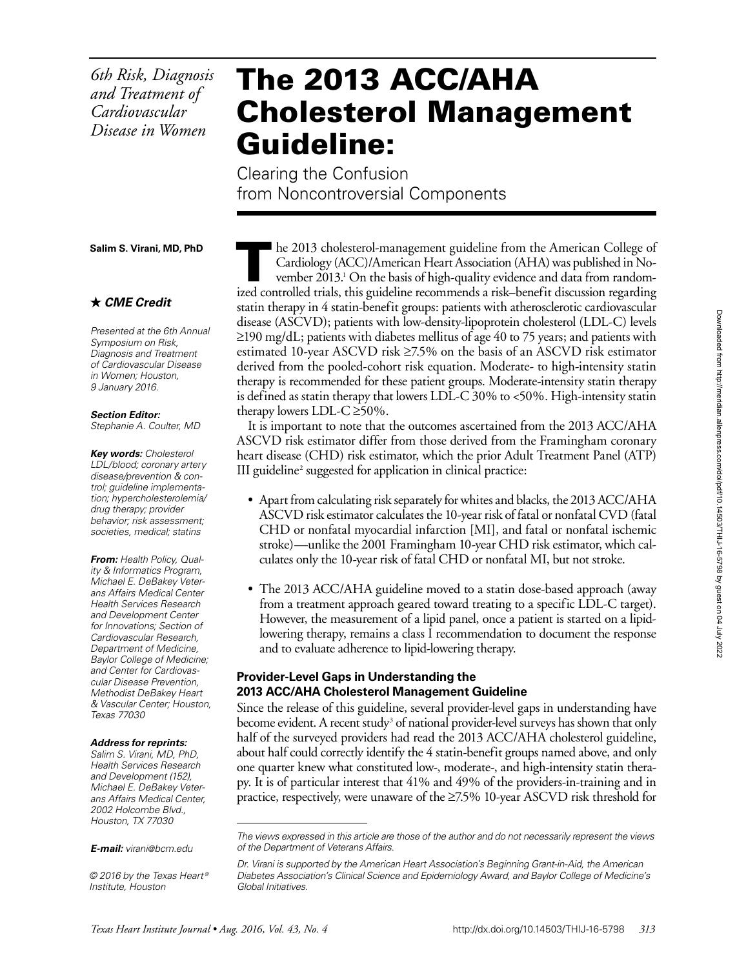*6th Risk, Diagnosis and Treatment of Cardiovascular Disease in Women*

# The 2013 ACC/AHA Cholesterol Management Guideline:

Clearing the Confusion from Noncontroversial Components

**Salim S. Virani, MD, PhD**

#### *CME Credit*

*Presented at the 6th Annual Symposium on Risk, Diagnosis and Treatment of Cardiovascular Disease in Women; Houston, 9 January 2016.*

*Section Editor:*

*Stephanie A. Coulter, MD*

*Key words: Cholesterol LDL/blood; coronary artery disease/prevention & control; guideline implementation; hypercholesterolemia/ drug therapy; provider behavior; risk assessment; societies, medical; statins*

*From: Health Policy, Quality & Informatics Program, Michael E. DeBakey Veterans Affairs Medical Center Health Services Research and Development Center for Innovations; Section of Cardiovascular Research, Department of Medicine, Baylor College of Medicine; and Center for Cardiovascular Disease Prevention, Methodist DeBakey Heart & Vascular Center; Houston, Texas 77030*

#### *Address for reprints:*

*Salim S. Virani, MD, PhD, Health Services Research and Development (152), Michael E. DeBakey Veterans Affairs Medical Center, 2002 Holcombe Blvd., Houston, TX 77030*

*E-mail: [virani@bcm.edu](mailto:virani@bcm.edu)*

*© 2016 by the Texas Heart ® Institute, Houston*

 $\blacksquare$  he 2013 cholesterol-management guideline from the American College of Cardiology (ACC)/American Heart Association (AHA) was published in November 2013.<sup>1</sup> On the basis of high-quality evidence and data from randomized controlled trials, this guideline recommends a risk–benefit discussion regarding statin therapy in 4 statin-benefit groups: patients with atherosclerotic cardiovascular disease (ASCVD); patients with low-density-lipoprotein cholesterol (LDL-C) levels  $\geq$ 190 mg/dL; patients with diabetes mellitus of age 40 to 75 years; and patients with estimated 10-year ASCVD risk ≥7.5% on the basis of an ASCVD risk estimator derived from the pooled-cohort risk equation. Moderate- to high-intensity statin therapy is recommended for these patient groups. Moderate-intensity statin therapy is defined as statin therapy that lowers LDL-C 30% to <50%. High-intensity statin therapy lowers LDL-C  $\geq$ 50%.

It is important to note that the outcomes ascertained from the 2013 ACC/AHA ASCVD risk estimator differ from those derived from the Framingham coronary heart disease (CHD) risk estimator, which the prior Adult Treatment Panel (ATP) III guideline<sup>2</sup> suggested for application in clinical practice:

- Apart from calculating risk separately for whites and blacks, the 2013 ACC/AHA ASCVD risk estimator calculates the 10-year risk of fatal or nonfatal CVD (fatal CHD or nonfatal myocardial infarction [MI], and fatal or nonfatal ischemic stroke)—unlike the 2001 Framingham 10-year CHD risk estimator, which calculates only the 10-year risk of fatal CHD or nonfatal MI, but not stroke.
- The 2013 ACC/AHA guideline moved to a statin dose-based approach (away from a treatment approach geared toward treating to a specific LDL-C target). However, the measurement of a lipid panel, once a patient is started on a lipidlowering therapy, remains a class I recommendation to document the response and to evaluate adherence to lipid-lowering therapy.

### **Provider-Level Gaps in Understanding the 2013 ACC/AHA Cholesterol Management Guideline**

Since the release of this guideline, several provider-level gaps in understanding have become evident. A recent study<sup>3</sup> of national provider-level surveys has shown that only half of the surveyed providers had read the 2013 ACC/AHA cholesterol guideline, about half could correctly identify the 4 statin-benefit groups named above, and only one quarter knew what constituted low-, moderate-, and high-intensity statin therapy. It is of particular interest that 41% and 49% of the providers-in-training and in practice, respectively, were unaware of the ≥7.5% 10-year ASCVD risk threshold for

*The views expressed in this article are those of the author and do not necessarily represent the views of the Department of Veterans Affairs.*

*Dr. Virani is supported by the American Heart Association's Beginning Grant-in-Aid, the American Diabetes Association's Clinical Science and Epidemiology Award, and Baylor College of Medicine's Global Initiatives.*